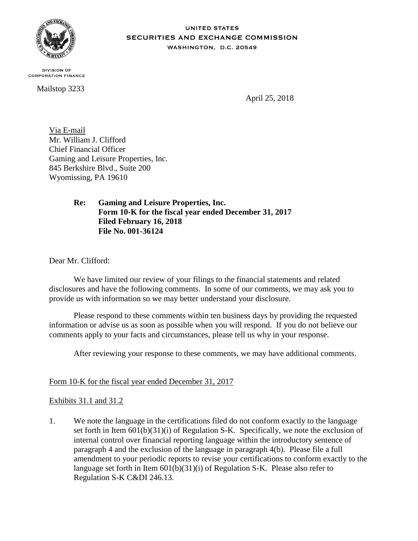

**DIVISION OF CORPORATION FINANCE** 

Mailstop 3233

**SECURITIES AND EXCHANGE COMMISSION** WASHINGTON, D.C. 20549

**UNITED STATES** 

April 25, 2018

Via E-mail Mr. William J. Clifford Chief Financial Officer Gaming and Leisure Properties, Inc. 845 Berkshire Blvd., Suite 200 Wyomissing, PA 19610

> **Re: Gaming and Leisure Properties, Inc. Form 10-K for the fiscal year ended December 31, 2017 Filed February 16, 2018 File No. 001-36124**

Dear Mr. Clifford:

We have limited our review of your filings to the financial statements and related disclosures and have the following comments. In some of our comments, we may ask you to provide us with information so we may better understand your disclosure.

Please respond to these comments within ten business days by providing the requested information or advise us as soon as possible when you will respond. If you do not believe our comments apply to your facts and circumstances, please tell us why in your response.

After reviewing your response to these comments, we may have additional comments.

## Form 10-K for the fiscal year ended December 31, 2017

## Exhibits 31.1 and 31.2

1. We note the language in the certifications filed do not conform exactly to the language set forth in Item 601(b)(31)(i) of Regulation S-K. Specifically, we note the exclusion of internal control over financial reporting language within the introductory sentence of paragraph 4 and the exclusion of the language in paragraph 4(b). Please file a full amendment to your periodic reports to revise your certifications to conform exactly to the language set forth in Item 601(b)(31)(i) of Regulation S-K. Please also refer to Regulation S-K C&DI 246.13.